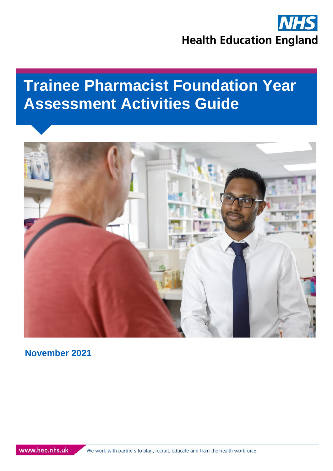

# **Trainee Pharmacist Foundation Year Assessment Activities Guide**



**November 2021**

We work with partners to plan, recruit, educate and train the health workforce.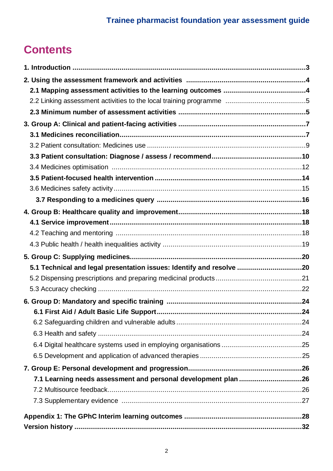## **Contents**

| 5.1 Technical and legal presentation issues: Identify and resolve 20 |    |
|----------------------------------------------------------------------|----|
|                                                                      |    |
|                                                                      |    |
|                                                                      |    |
|                                                                      | 24 |
|                                                                      |    |
|                                                                      |    |
|                                                                      |    |
|                                                                      |    |
|                                                                      |    |
|                                                                      |    |
|                                                                      |    |
|                                                                      |    |
|                                                                      |    |
|                                                                      |    |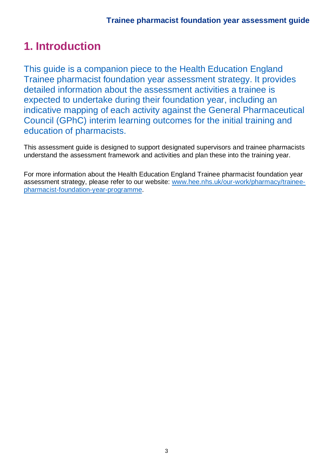## **1. Introduction**

This guide is a companion piece to the Health Education England Trainee pharmacist foundation year assessment strategy. It provides detailed information about the assessment activities a trainee is expected to undertake during their foundation year, including an indicative mapping of each activity against the General Pharmaceutical Council (GPhC) interim learning outcomes for the initial training and education of pharmacists.

This assessment guide is designed to support designated supervisors and trainee pharmacists understand the assessment framework and activities and plan these into the training year.

For more information about the Health Education England Trainee pharmacist foundation year assessment strategy, please refer to our website: [www.hee.nhs.uk/our-work/pharmacy/trainee](http://www.hee.nhs.uk/our-work/pharmacy/trainee-pharmacist-foundation-year-programme)[pharmacist-foundation-year-programme.](http://www.hee.nhs.uk/our-work/pharmacy/trainee-pharmacist-foundation-year-programme)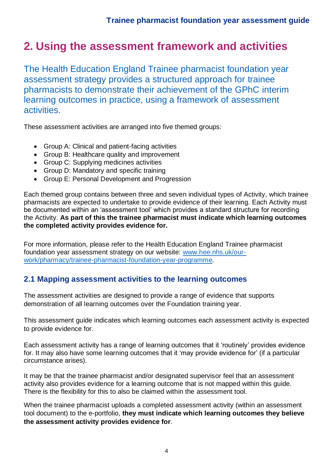## **2. Using the assessment framework and activities**

The Health Education England Trainee pharmacist foundation year assessment strategy provides a structured approach for trainee pharmacists to demonstrate their achievement of the GPhC interim learning outcomes in practice, using a framework of assessment activities.

These assessment activities are arranged into five themed groups:

- Group A: Clinical and patient-facing activities
- Group B: Healthcare quality and improvement
- Group C: Supplying medicines activities
- Group D: Mandatory and specific training
- Group E: Personal Development and Progression

Each themed group contains between three and seven individual types of Activity, which trainee pharmacists are expected to undertake to provide evidence of their learning. Each Activity must be documented within an 'assessment tool' which provides a standard structure for recording the Activity. **As part of this the trainee pharmacist must indicate which learning outcomes the completed activity provides evidence for.**

For more information, please refer to the Health Education England Trainee pharmacist foundation year assessment strategy on our website: [www.hee.nhs.uk/our](http://www.hee.nhs.uk/our-work/pharmacy/trainee-pharmacist-foundation-year-programme)[work/pharmacy/trainee-pharmacist-foundation-year-programme.](http://www.hee.nhs.uk/our-work/pharmacy/trainee-pharmacist-foundation-year-programme)

### **2.1 Mapping assessment activities to the learning outcomes**

The assessment activities are designed to provide a range of evidence that supports demonstration of all learning outcomes over the Foundation training year.

This assessment guide indicates which learning outcomes each assessment activity is expected to provide evidence for.

Each assessment activity has a range of learning outcomes that it 'routinely' provides evidence for. It may also have some learning outcomes that it 'may provide evidence for' (if a particular circumstance arises).

It may be that the trainee pharmacist and/or designated supervisor feel that an assessment activity also provides evidence for a learning outcome that is not mapped within this guide. There is the flexibility for this to also be claimed within the assessment tool.

When the trainee pharmacist uploads a completed assessment activity (within an assessment tool document) to the e-portfolio, **they must indicate which learning outcomes they believe the assessment activity provides evidence for**.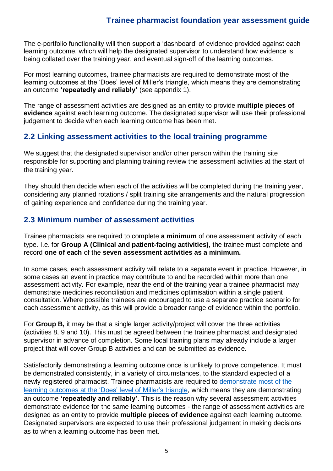The e-portfolio functionality will then support a 'dashboard' of evidence provided against each learning outcome, which will help the designated supervisor to understand how evidence is being collated over the training year, and eventual sign-off of the learning outcomes.

For most learning outcomes, trainee pharmacists are required to demonstrate most of the learning outcomes at the 'Does' level of Miller's triangle, which means they are demonstrating an outcome **'repeatedly and reliably'** (see appendix 1).

The range of assessment activities are designed as an entity to provide **multiple pieces of evidence** against each learning outcome. The designated supervisor will use their professional judgement to decide when each learning outcome has been met.

### **2.2 Linking assessment activities to the local training programme**

We suggest that the designated supervisor and/or other person within the training site responsible for supporting and planning training review the assessment activities at the start of the training year.

They should then decide when each of the activities will be completed during the training year, considering any planned rotations / split training site arrangements and the natural progression of gaining experience and confidence during the training year.

### **2.3 Minimum number of assessment activities**

Trainee pharmacists are required to complete **a minimum** of one assessment activity of each type. I.e. for **Group A (Clinical and patient-facing activities)**, the trainee must complete and record **one of each** of the **seven assessment activities as a minimum.** 

In some cases, each assessment activity will relate to a separate event in practice. However, in some cases an event in practice may contribute to and be recorded within more than one assessment activity. For example, near the end of the training year a trainee pharmacist may demonstrate medicines reconciliation and medicines optimisation within a single patient consultation. Where possible trainees are encouraged to use a separate practice scenario for each assessment activity, as this will provide a broader range of evidence within the portfolio.

For **Group B,** it may be that a single larger activity/project will cover the three activities (activities 8, 9 and 10). This must be agreed between the trainee pharmacist and designated supervisor in advance of completion. Some local training plans may already include a larger project that will cover Group B activities and can be submitted as evidence.

Satisfactorily demonstrating a learning outcome once is unlikely to prove competence. It must be demonstrated consistently, in a variety of circumstances, to the standard expected of a newly registered pharmacist. Trainee pharmacists are required to [demonstrate most of the](https://www.pharmacyregulation.org/developing-and-demonstrating-your-knowledge-and-competence)  learning outcomes at the ['Does' level of Miller's triangle,](https://www.pharmacyregulation.org/developing-and-demonstrating-your-knowledge-and-competence) which means they are demonstrating an outcome **'repeatedly and reliably'**. This is the reason why several assessment activities demonstrate evidence for the same learning outcomes - the range of assessment activities are designed as an entity to provide **multiple pieces of evidence** against each learning outcome. Designated supervisors are expected to use their professional judgement in making decisions as to when a learning outcome has been met.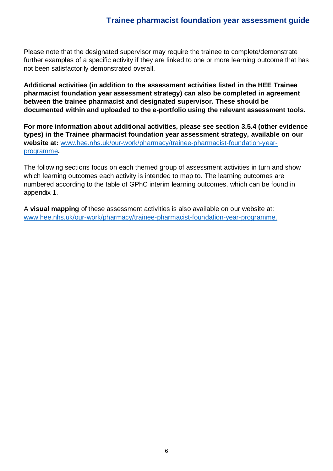Please note that the designated supervisor may require the trainee to complete/demonstrate further examples of a specific activity if they are linked to one or more learning outcome that has not been satisfactorily demonstrated overall.

**Additional activities (in addition to the assessment activities listed in the HEE Trainee pharmacist foundation year assessment strategy) can also be completed in agreement between the trainee pharmacist and designated supervisor. These should be documented within and uploaded to the e-portfolio using the relevant assessment tools.** 

**For more information about additional activities, please see section 3.5.4 (other evidence types) in the Trainee pharmacist foundation year assessment strategy, available on our website at:** [www.hee.nhs.uk/our-work/pharmacy/trainee-pharmacist-foundation-year](http://www.hee.nhs.uk/our-work/pharmacy/trainee-pharmacist-foundation-year-programme)[programme](http://www.hee.nhs.uk/our-work/pharmacy/trainee-pharmacist-foundation-year-programme)**.**

The following sections focus on each themed group of assessment activities in turn and show which learning outcomes each activity is intended to map to. The learning outcomes are numbered according to the table of GPhC interim learning outcomes, which can be found in appendix 1.

A **visual mapping** of these assessment activities is also available on our website at: [www.hee.nhs.uk/our-work/pharmacy/trainee-pharmacist-foundation-year-programme.](http://www.hee.nhs.uk/our-work/pharmacy/trainee-pharmacist-foundation-year-programme)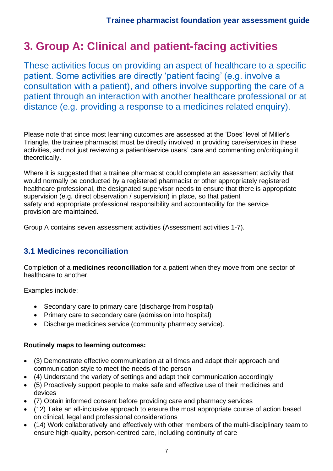## **3. Group A: Clinical and patient-facing activities**

These activities focus on providing an aspect of healthcare to a specific patient. Some activities are directly 'patient facing' (e.g. involve a consultation with a patient), and others involve supporting the care of a patient through an interaction with another healthcare professional or at distance (e.g. providing a response to a medicines related enquiry).

Please note that since most learning outcomes are assessed at the 'Does' level of Miller's Triangle, the trainee pharmacist must be directly involved in providing care/services in these activities, and not just reviewing a patient/service users' care and commenting on/critiquing it theoretically.

Where it is suggested that a trainee pharmacist could complete an assessment activity that would normally be conducted by a registered pharmacist or other appropriately registered healthcare professional, the designated supervisor needs to ensure that there is appropriate supervision (e.g. direct observation / supervision) in place, so that patient safety and appropriate professional responsibility and accountability for the service provision are maintained.

Group A contains seven assessment activities (Assessment activities 1-7).

## **3.1 Medicines reconciliation**

Completion of a **medicines reconciliation** for a patient when they move from one sector of healthcare to another.

Examples include:

- Secondary care to primary care (discharge from hospital)
- Primary care to secondary care (admission into hospital)
- Discharge medicines service (community pharmacy service).

- (3) Demonstrate effective communication at all times and adapt their approach and communication style to meet the needs of the person
- (4) Understand the variety of settings and adapt their communication accordingly
- (5) Proactively support people to make safe and effective use of their medicines and devices
- (7) Obtain informed consent before providing care and pharmacy services
- (12) Take an all-inclusive approach to ensure the most appropriate course of action based on clinical, legal and professional considerations
- (14) Work collaboratively and effectively with other members of the multi-disciplinary team to ensure high-quality, person-centred care, including continuity of care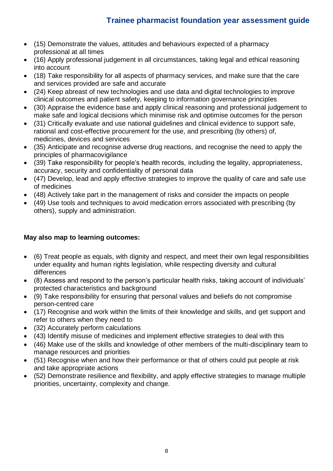- (15) Demonstrate the values, attitudes and behaviours expected of a pharmacy professional at all times
- (16) Apply professional judgement in all circumstances, taking legal and ethical reasoning into account
- (18) Take responsibility for all aspects of pharmacy services, and make sure that the care and services provided are safe and accurate
- (24) Keep abreast of new technologies and use data and digital technologies to improve clinical outcomes and patient safety, keeping to information governance principles
- (30) Appraise the evidence base and apply clinical reasoning and professional judgement to make safe and logical decisions which minimise risk and optimise outcomes for the person
- (31) Critically evaluate and use national guidelines and clinical evidence to support safe, rational and cost-effective procurement for the use, and prescribing (by others) of, medicines, devices and services
- (35) Anticipate and recognise adverse drug reactions, and recognise the need to apply the principles of pharmacovigilance
- (39) Take responsibility for people's health records, including the legality, appropriateness, accuracy, security and confidentiality of personal data
- (47) Develop, lead and apply effective strategies to improve the quality of care and safe use of medicines
- (48) Actively take part in the management of risks and consider the impacts on people
- (49) Use tools and techniques to avoid medication errors associated with prescribing (by others), supply and administration.

### **May also map to learning outcomes:**

- (6) Treat people as equals, with dignity and respect, and meet their own legal responsibilities under equality and human rights legislation, while respecting diversity and cultural differences
- (8) Assess and respond to the person's particular health risks, taking account of individuals' protected characteristics and background
- (9) Take responsibility for ensuring that personal values and beliefs do not compromise person-centred care
- (17) Recognise and work within the limits of their knowledge and skills, and get support and refer to others when they need to
- (32) Accurately perform calculations
- (43) Identify misuse of medicines and implement effective strategies to deal with this
- (46) Make use of the skills and knowledge of other members of the multi-disciplinary team to manage resources and priorities
- (51) Recognise when and how their performance or that of others could put people at risk and take appropriate actions
- (52) Demonstrate resilience and flexibility, and apply effective strategies to manage multiple priorities, uncertainty, complexity and change.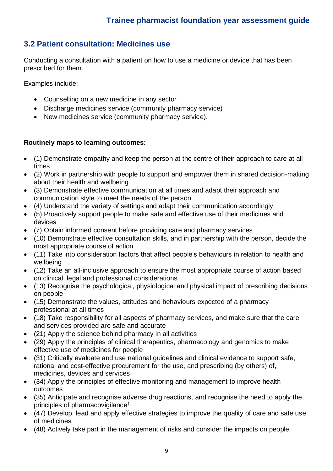## **3.2 Patient consultation: Medicines use**

Conducting a consultation with a patient on how to use a medicine or device that has been prescribed for them.

Examples include:

- Counselling on a new medicine in any sector
- Discharge medicines service (community pharmacy service)
- New medicines service (community pharmacy service).

- (1) Demonstrate empathy and keep the person at the centre of their approach to care at all times
- (2) Work in partnership with people to support and empower them in shared decision-making about their health and wellbeing
- (3) Demonstrate effective communication at all times and adapt their approach and communication style to meet the needs of the person
- (4) Understand the variety of settings and adapt their communication accordingly
- (5) Proactively support people to make safe and effective use of their medicines and devices
- (7) Obtain informed consent before providing care and pharmacy services
- (10) Demonstrate effective consultation skills, and in partnership with the person, decide the most appropriate course of action
- (11) Take into consideration factors that affect people's behaviours in relation to health and wellbeing
- (12) Take an all-inclusive approach to ensure the most appropriate course of action based on clinical, legal and professional considerations
- (13) Recognise the psychological, physiological and physical impact of prescribing decisions on people
- (15) Demonstrate the values, attitudes and behaviours expected of a pharmacy professional at all times
- (18) Take responsibility for all aspects of pharmacy services, and make sure that the care and services provided are safe and accurate
- (21) Apply the science behind pharmacy in all activities
- (29) Apply the principles of clinical therapeutics, pharmacology and genomics to make effective use of medicines for people
- (31) Critically evaluate and use national guidelines and clinical evidence to support safe, rational and cost-effective procurement for the use, and prescribing (by others) of, medicines, devices and services
- (34) Apply the principles of effective monitoring and management to improve health outcomes
- (35) Anticipate and recognise adverse drug reactions, and recognise the need to apply the principles of pharmacovigilance<sup>1</sup>
- (47) Develop, lead and apply effective strategies to improve the quality of care and safe use of medicines
- (48) Actively take part in the management of risks and consider the impacts on people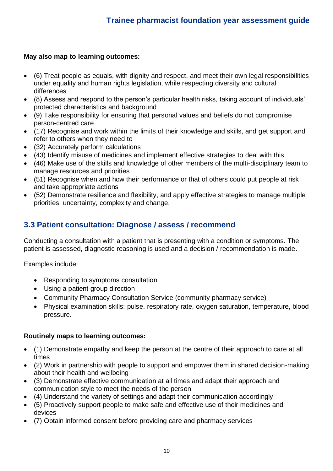### **May also map to learning outcomes:**

- (6) Treat people as equals, with dignity and respect, and meet their own legal responsibilities under equality and human rights legislation, while respecting diversity and cultural differences
- (8) Assess and respond to the person's particular health risks, taking account of individuals' protected characteristics and background
- (9) Take responsibility for ensuring that personal values and beliefs do not compromise person-centred care
- (17) Recognise and work within the limits of their knowledge and skills, and get support and refer to others when they need to
- (32) Accurately perform calculations
- (43) Identify misuse of medicines and implement effective strategies to deal with this
- (46) Make use of the skills and knowledge of other members of the multi-disciplinary team to manage resources and priorities
- (51) Recognise when and how their performance or that of others could put people at risk and take appropriate actions
- (52) Demonstrate resilience and flexibility, and apply effective strategies to manage multiple priorities, uncertainty, complexity and change.

## **3.3 Patient consultation: Diagnose / assess / recommend**

Conducting a consultation with a patient that is presenting with a condition or symptoms. The patient is assessed, diagnostic reasoning is used and a decision / recommendation is made.

Examples include:

- Responding to symptoms consultation
- Using a patient group direction
- Community Pharmacy Consultation Service (community pharmacy service)
- Physical examination skills: pulse, respiratory rate, oxygen saturation, temperature, blood pressure.

- (1) Demonstrate empathy and keep the person at the centre of their approach to care at all times
- (2) Work in partnership with people to support and empower them in shared decision-making about their health and wellbeing
- (3) Demonstrate effective communication at all times and adapt their approach and communication style to meet the needs of the person
- (4) Understand the variety of settings and adapt their communication accordingly
- (5) Proactively support people to make safe and effective use of their medicines and devices
- (7) Obtain informed consent before providing care and pharmacy services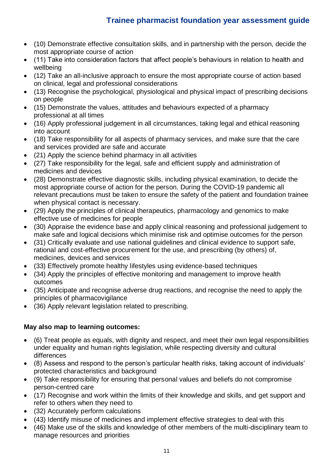- (10) Demonstrate effective consultation skills, and in partnership with the person, decide the most appropriate course of action
- (11) Take into consideration factors that affect people's behaviours in relation to health and wellbeing
- (12) Take an all-inclusive approach to ensure the most appropriate course of action based on clinical, legal and professional considerations
- (13) Recognise the psychological, physiological and physical impact of prescribing decisions on people
- (15) Demonstrate the values, attitudes and behaviours expected of a pharmacy professional at all times
- (16) Apply professional judgement in all circumstances, taking legal and ethical reasoning into account
- (18) Take responsibility for all aspects of pharmacy services, and make sure that the care and services provided are safe and accurate
- (21) Apply the science behind pharmacy in all activities
- (27) Take responsibility for the legal, safe and efficient supply and administration of medicines and devices
- (28) Demonstrate effective diagnostic skills, including physical examination, to decide the most appropriate course of action for the person. During the COVID-19 pandemic all relevant precautions must be taken to ensure the safety of the patient and foundation trainee when physical contact is necessary.
- (29) Apply the principles of clinical therapeutics, pharmacology and genomics to make effective use of medicines for people
- (30) Appraise the evidence base and apply clinical reasoning and professional judgement to make safe and logical decisions which minimise risk and optimise outcomes for the person
- (31) Critically evaluate and use national guidelines and clinical evidence to support safe, rational and cost-effective procurement for the use, and prescribing (by others) of, medicines, devices and services
- (33) Effectively promote healthy lifestyles using evidence-based techniques
- (34) Apply the principles of effective monitoring and management to improve health outcomes
- (35) Anticipate and recognise adverse drug reactions, and recognise the need to apply the principles of pharmacovigilance
- (36) Apply relevant legislation related to prescribing.

### **May also map to learning outcomes:**

- (6) Treat people as equals, with dignity and respect, and meet their own legal responsibilities under equality and human rights legislation, while respecting diversity and cultural differences
- (8) Assess and respond to the person's particular health risks, taking account of individuals' protected characteristics and background
- (9) Take responsibility for ensuring that personal values and beliefs do not compromise person-centred care
- (17) Recognise and work within the limits of their knowledge and skills, and get support and refer to others when they need to
- (32) Accurately perform calculations
- (43) Identify misuse of medicines and implement effective strategies to deal with this
- (46) Make use of the skills and knowledge of other members of the multi-disciplinary team to manage resources and priorities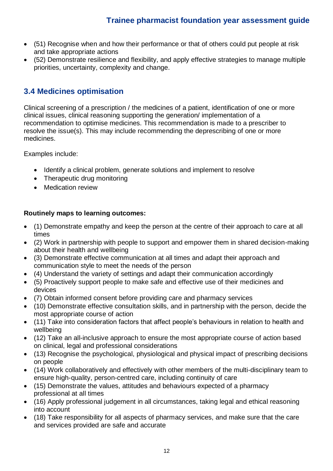- (51) Recognise when and how their performance or that of others could put people at risk and take appropriate actions
- (52) Demonstrate resilience and flexibility, and apply effective strategies to manage multiple priorities, uncertainty, complexity and change.

## **3.4 Medicines optimisation**

Clinical screening of a prescription / the medicines of a patient, identification of one or more clinical issues, clinical reasoning supporting the generation/ implementation of a recommendation to optimise medicines. This recommendation is made to a prescriber to resolve the issue(s). This may include recommending the deprescribing of one or more medicines.

Examples include:

- Identify a clinical problem, generate solutions and implement to resolve
- Therapeutic drug monitoring
- Medication review

- (1) Demonstrate empathy and keep the person at the centre of their approach to care at all times
- (2) Work in partnership with people to support and empower them in shared decision-making about their health and wellbeing
- (3) Demonstrate effective communication at all times and adapt their approach and communication style to meet the needs of the person
- (4) Understand the variety of settings and adapt their communication accordingly
- (5) Proactively support people to make safe and effective use of their medicines and devices
- (7) Obtain informed consent before providing care and pharmacy services
- (10) Demonstrate effective consultation skills, and in partnership with the person, decide the most appropriate course of action
- (11) Take into consideration factors that affect people's behaviours in relation to health and wellbeing
- (12) Take an all-inclusive approach to ensure the most appropriate course of action based on clinical, legal and professional considerations
- (13) Recognise the psychological, physiological and physical impact of prescribing decisions on people
- (14) Work collaboratively and effectively with other members of the multi-disciplinary team to ensure high-quality, person-centred care, including continuity of care
- (15) Demonstrate the values, attitudes and behaviours expected of a pharmacy professional at all times
- (16) Apply professional judgement in all circumstances, taking legal and ethical reasoning into account
- (18) Take responsibility for all aspects of pharmacy services, and make sure that the care and services provided are safe and accurate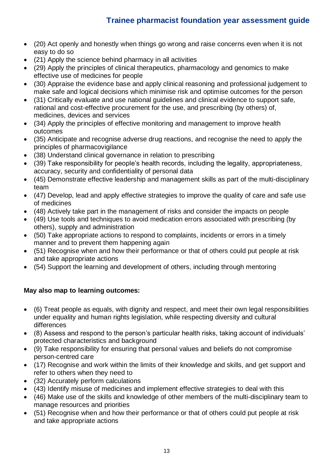- (20) Act openly and honestly when things go wrong and raise concerns even when it is not easy to do so
- (21) Apply the science behind pharmacy in all activities
- (29) Apply the principles of clinical therapeutics, pharmacology and genomics to make effective use of medicines for people
- (30) Appraise the evidence base and apply clinical reasoning and professional judgement to make safe and logical decisions which minimise risk and optimise outcomes for the person
- (31) Critically evaluate and use national guidelines and clinical evidence to support safe, rational and cost-effective procurement for the use, and prescribing (by others) of, medicines, devices and services
- (34) Apply the principles of effective monitoring and management to improve health outcomes
- (35) Anticipate and recognise adverse drug reactions, and recognise the need to apply the principles of pharmacovigilance
- (38) Understand clinical governance in relation to prescribing
- (39) Take responsibility for people's health records, including the legality, appropriateness, accuracy, security and confidentiality of personal data
- (45) Demonstrate effective leadership and management skills as part of the multi-disciplinary team
- (47) Develop, lead and apply effective strategies to improve the quality of care and safe use of medicines
- (48) Actively take part in the management of risks and consider the impacts on people
- (49) Use tools and techniques to avoid medication errors associated with prescribing (by others), supply and administration
- (50) Take appropriate actions to respond to complaints, incidents or errors in a timely manner and to prevent them happening again
- (51) Recognise when and how their performance or that of others could put people at risk and take appropriate actions
- (54) Support the learning and development of others, including through mentoring

### **May also map to learning outcomes:**

- (6) Treat people as equals, with dignity and respect, and meet their own legal responsibilities under equality and human rights legislation, while respecting diversity and cultural differences
- (8) Assess and respond to the person's particular health risks, taking account of individuals' protected characteristics and background
- (9) Take responsibility for ensuring that personal values and beliefs do not compromise person-centred care
- (17) Recognise and work within the limits of their knowledge and skills, and get support and refer to others when they need to
- (32) Accurately perform calculations
- (43) Identify misuse of medicines and implement effective strategies to deal with this
- (46) Make use of the skills and knowledge of other members of the multi-disciplinary team to manage resources and priorities
- (51) Recognise when and how their performance or that of others could put people at risk and take appropriate actions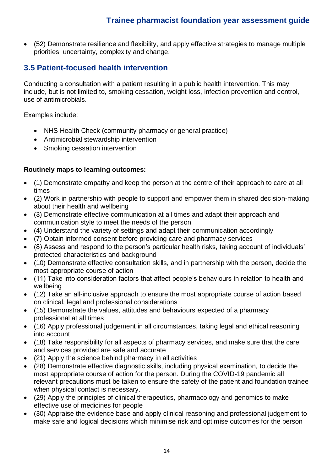• (52) Demonstrate resilience and flexibility, and apply effective strategies to manage multiple priorities, uncertainty, complexity and change.

## **3.5 Patient-focused health intervention**

Conducting a consultation with a patient resulting in a public health intervention. This may include, but is not limited to, smoking cessation, weight loss, infection prevention and control, use of antimicrobials.

Examples include:

- NHS Health Check (community pharmacy or general practice)
- Antimicrobial stewardship intervention
- Smoking cessation intervention

- (1) Demonstrate empathy and keep the person at the centre of their approach to care at all times
- (2) Work in partnership with people to support and empower them in shared decision-making about their health and wellbeing
- (3) Demonstrate effective communication at all times and adapt their approach and communication style to meet the needs of the person
- (4) Understand the variety of settings and adapt their communication accordingly
- (7) Obtain informed consent before providing care and pharmacy services
- (8) Assess and respond to the person's particular health risks, taking account of individuals' protected characteristics and background
- (10) Demonstrate effective consultation skills, and in partnership with the person, decide the most appropriate course of action
- (11) Take into consideration factors that affect people's behaviours in relation to health and wellbeing
- (12) Take an all-inclusive approach to ensure the most appropriate course of action based on clinical, legal and professional considerations
- (15) Demonstrate the values, attitudes and behaviours expected of a pharmacy professional at all times
- (16) Apply professional judgement in all circumstances, taking legal and ethical reasoning into account
- (18) Take responsibility for all aspects of pharmacy services, and make sure that the care and services provided are safe and accurate
- (21) Apply the science behind pharmacy in all activities
- (28) Demonstrate effective diagnostic skills, including physical examination, to decide the most appropriate course of action for the person. During the COVID-19 pandemic all relevant precautions must be taken to ensure the safety of the patient and foundation trainee when physical contact is necessary.
- (29) Apply the principles of clinical therapeutics, pharmacology and genomics to make effective use of medicines for people
- (30) Appraise the evidence base and apply clinical reasoning and professional judgement to make safe and logical decisions which minimise risk and optimise outcomes for the person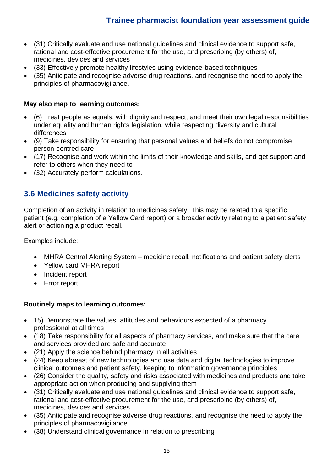- (31) Critically evaluate and use national guidelines and clinical evidence to support safe, rational and cost-effective procurement for the use, and prescribing (by others) of, medicines, devices and services
- (33) Effectively promote healthy lifestyles using evidence-based techniques
- (35) Anticipate and recognise adverse drug reactions, and recognise the need to apply the principles of pharmacovigilance.

#### **May also map to learning outcomes:**

- (6) Treat people as equals, with dignity and respect, and meet their own legal responsibilities under equality and human rights legislation, while respecting diversity and cultural differences
- (9) Take responsibility for ensuring that personal values and beliefs do not compromise person-centred care
- (17) Recognise and work within the limits of their knowledge and skills, and get support and refer to others when they need to
- (32) Accurately perform calculations.

### **3.6 Medicines safety activity**

Completion of an activity in relation to medicines safety. This may be related to a specific patient (e.g. completion of a Yellow Card report) or a broader activity relating to a patient safety alert or actioning a product recall.

Examples include:

- MHRA Central Alerting System medicine recall, notifications and patient safety alerts
- Yellow card MHRA report
- Incident report
- Error report.

- 15) Demonstrate the values, attitudes and behaviours expected of a pharmacy professional at all times
- (18) Take responsibility for all aspects of pharmacy services, and make sure that the care and services provided are safe and accurate
- (21) Apply the science behind pharmacy in all activities
- (24) Keep abreast of new technologies and use data and digital technologies to improve clinical outcomes and patient safety, keeping to information governance principles
- (26) Consider the quality, safety and risks associated with medicines and products and take appropriate action when producing and supplying them
- (31) Critically evaluate and use national guidelines and clinical evidence to support safe, rational and cost-effective procurement for the use, and prescribing (by others) of, medicines, devices and services
- (35) Anticipate and recognise adverse drug reactions, and recognise the need to apply the principles of pharmacovigilance
- (38) Understand clinical governance in relation to prescribing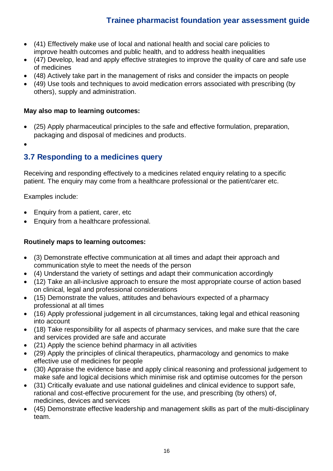- (41) Effectively make use of local and national health and social care policies to improve health outcomes and public health, and to address health inequalities
- (47) Develop, lead and apply effective strategies to improve the quality of care and safe use of medicines
- (48) Actively take part in the management of risks and consider the impacts on people
- (49) Use tools and techniques to avoid medication errors associated with prescribing (by others), supply and administration.

### **May also map to learning outcomes:**

- (25) Apply pharmaceutical principles to the safe and effective formulation, preparation, packaging and disposal of medicines and products.
- •

## **3.7 Responding to a medicines query**

Receiving and responding effectively to a medicines related enquiry relating to a specific patient. The enquiry may come from a healthcare professional or the patient/carer etc.

Examples include:

- Enquiry from a patient, carer, etc
- Enquiry from a healthcare professional.

- (3) Demonstrate effective communication at all times and adapt their approach and communication style to meet the needs of the person
- (4) Understand the variety of settings and adapt their communication accordingly
- (12) Take an all-inclusive approach to ensure the most appropriate course of action based on clinical, legal and professional considerations
- (15) Demonstrate the values, attitudes and behaviours expected of a pharmacy professional at all times
- (16) Apply professional judgement in all circumstances, taking legal and ethical reasoning into account
- (18) Take responsibility for all aspects of pharmacy services, and make sure that the care and services provided are safe and accurate
- (21) Apply the science behind pharmacy in all activities
- (29) Apply the principles of clinical therapeutics, pharmacology and genomics to make effective use of medicines for people
- (30) Appraise the evidence base and apply clinical reasoning and professional judgement to make safe and logical decisions which minimise risk and optimise outcomes for the person
- (31) Critically evaluate and use national guidelines and clinical evidence to support safe, rational and cost-effective procurement for the use, and prescribing (by others) of, medicines, devices and services
- (45) Demonstrate effective leadership and management skills as part of the multi-disciplinary team.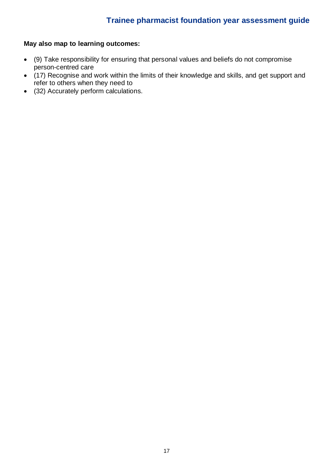### **May also map to learning outcomes:**

- (9) Take responsibility for ensuring that personal values and beliefs do not compromise person-centred care
- (17) Recognise and work within the limits of their knowledge and skills, and get support and refer to others when they need to
- (32) Accurately perform calculations.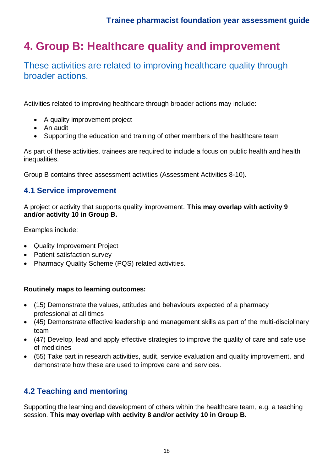## **4. Group B: Healthcare quality and improvement**

These activities are related to improving healthcare quality through broader actions.

Activities related to improving healthcare through broader actions may include:

- A quality improvement project
- An audit
- Supporting the education and training of other members of the healthcare team

As part of these activities, trainees are required to include a focus on public health and health inequalities.

Group B contains three assessment activities (Assessment Activities 8-10).

### **4.1 Service improvement**

A project or activity that supports quality improvement. **This may overlap with activity 9 and/or activity 10 in Group B.**

Examples include:

- Quality Improvement Project
- Patient satisfaction survey
- Pharmacy Quality Scheme (PQS) related activities.

#### **Routinely maps to learning outcomes:**

- (15) Demonstrate the values, attitudes and behaviours expected of a pharmacy professional at all times
- (45) Demonstrate effective leadership and management skills as part of the multi-disciplinary team
- (47) Develop, lead and apply effective strategies to improve the quality of care and safe use of medicines
- (55) Take part in research activities, audit, service evaluation and quality improvement, and demonstrate how these are used to improve care and services.

### **4.2 Teaching and mentoring**

Supporting the learning and development of others within the healthcare team, e.g. a teaching session. **This may overlap with activity 8 and/or activity 10 in Group B.**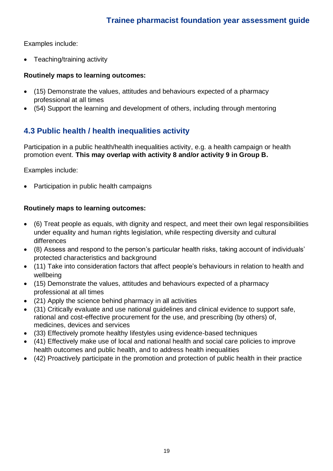Examples include:

• Teaching/training activity

### **Routinely maps to learning outcomes:**

- (15) Demonstrate the values, attitudes and behaviours expected of a pharmacy professional at all times
- (54) Support the learning and development of others, including through mentoring

## **4.3 Public health / health inequalities activity**

Participation in a public health/health inequalities activity, e.g. a health campaign or health promotion event. **This may overlap with activity 8 and/or activity 9 in Group B.**

Examples include:

• Participation in public health campaigns

- (6) Treat people as equals, with dignity and respect, and meet their own legal responsibilities under equality and human rights legislation, while respecting diversity and cultural differences
- (8) Assess and respond to the person's particular health risks, taking account of individuals' protected characteristics and background
- (11) Take into consideration factors that affect people's behaviours in relation to health and wellbeing
- (15) Demonstrate the values, attitudes and behaviours expected of a pharmacy professional at all times
- (21) Apply the science behind pharmacy in all activities
- (31) Critically evaluate and use national guidelines and clinical evidence to support safe, rational and cost-effective procurement for the use, and prescribing (by others) of, medicines, devices and services
- (33) Effectively promote healthy lifestyles using evidence-based techniques
- (41) Effectively make use of local and national health and social care policies to improve health outcomes and public health, and to address health inequalities
- (42) Proactively participate in the promotion and protection of public health in their practice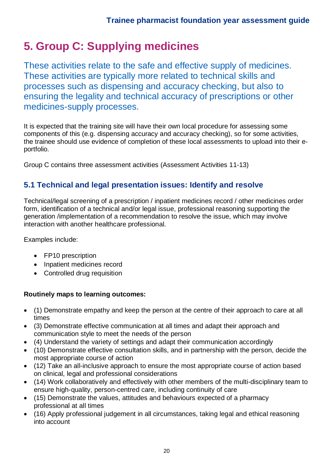## **5. Group C: Supplying medicines**

These activities relate to the safe and effective supply of medicines. These activities are typically more related to technical skills and processes such as dispensing and accuracy checking, but also to ensuring the legality and technical accuracy of prescriptions or other medicines-supply processes.

It is expected that the training site will have their own local procedure for assessing some components of this (e.g. dispensing accuracy and accuracy checking), so for some activities, the trainee should use evidence of completion of these local assessments to upload into their eportfolio.

Group C contains three assessment activities (Assessment Activities 11-13)

## **5.1 Technical and legal presentation issues: Identify and resolve**

Technical/legal screening of a prescription / inpatient medicines record / other medicines order form, identification of a technical and/or legal issue, professional reasoning supporting the generation /implementation of a recommendation to resolve the issue, which may involve interaction with another healthcare professional.

Examples include:

- FP10 prescription
- Inpatient medicines record
- Controlled drug requisition

- (1) Demonstrate empathy and keep the person at the centre of their approach to care at all times
- (3) Demonstrate effective communication at all times and adapt their approach and communication style to meet the needs of the person
- (4) Understand the variety of settings and adapt their communication accordingly
- (10) Demonstrate effective consultation skills, and in partnership with the person, decide the most appropriate course of action
- (12) Take an all-inclusive approach to ensure the most appropriate course of action based on clinical, legal and professional considerations
- (14) Work collaboratively and effectively with other members of the multi-disciplinary team to ensure high-quality, person-centred care, including continuity of care
- (15) Demonstrate the values, attitudes and behaviours expected of a pharmacy professional at all times
- (16) Apply professional judgement in all circumstances, taking legal and ethical reasoning into account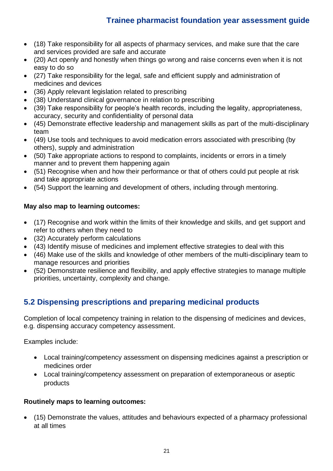- (18) Take responsibility for all aspects of pharmacy services, and make sure that the care and services provided are safe and accurate
- (20) Act openly and honestly when things go wrong and raise concerns even when it is not easy to do so
- (27) Take responsibility for the legal, safe and efficient supply and administration of medicines and devices
- (36) Apply relevant legislation related to prescribing
- (38) Understand clinical governance in relation to prescribing
- (39) Take responsibility for people's health records, including the legality, appropriateness, accuracy, security and confidentiality of personal data
- (45) Demonstrate effective leadership and management skills as part of the multi-disciplinary team
- (49) Use tools and techniques to avoid medication errors associated with prescribing (by others), supply and administration
- (50) Take appropriate actions to respond to complaints, incidents or errors in a timely manner and to prevent them happening again
- (51) Recognise when and how their performance or that of others could put people at risk and take appropriate actions
- (54) Support the learning and development of others, including through mentoring.

### **May also map to learning outcomes:**

- (17) Recognise and work within the limits of their knowledge and skills, and get support and refer to others when they need to
- (32) Accurately perform calculations
- (43) Identify misuse of medicines and implement effective strategies to deal with this
- (46) Make use of the skills and knowledge of other members of the multi-disciplinary team to manage resources and priorities
- (52) Demonstrate resilience and flexibility, and apply effective strategies to manage multiple priorities, uncertainty, complexity and change.

## **5.2 Dispensing prescriptions and preparing medicinal products**

Completion of local competency training in relation to the dispensing of medicines and devices, e.g. dispensing accuracy competency assessment.

Examples include:

- Local training/competency assessment on dispensing medicines against a prescription or medicines order
- Local training/competency assessment on preparation of extemporaneous or aseptic products

### **Routinely maps to learning outcomes:**

• (15) Demonstrate the values, attitudes and behaviours expected of a pharmacy professional at all times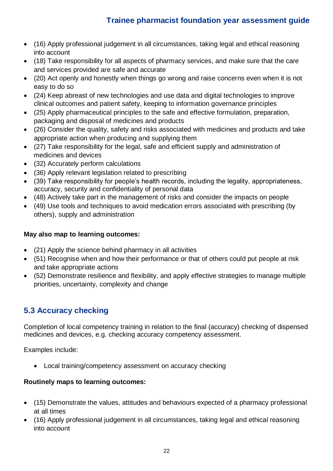- (16) Apply professional judgement in all circumstances, taking legal and ethical reasoning into account
- (18) Take responsibility for all aspects of pharmacy services, and make sure that the care and services provided are safe and accurate
- (20) Act openly and honestly when things go wrong and raise concerns even when it is not easy to do so
- (24) Keep abreast of new technologies and use data and digital technologies to improve clinical outcomes and patient safety, keeping to information governance principles
- (25) Apply pharmaceutical principles to the safe and effective formulation, preparation, packaging and disposal of medicines and products
- (26) Consider the quality, safety and risks associated with medicines and products and take appropriate action when producing and supplying them
- (27) Take responsibility for the legal, safe and efficient supply and administration of medicines and devices
- (32) Accurately perform calculations
- (36) Apply relevant legislation related to prescribing
- (39) Take responsibility for people's health records, including the legality, appropriateness, accuracy, security and confidentiality of personal data
- (48) Actively take part in the management of risks and consider the impacts on people
- (49) Use tools and techniques to avoid medication errors associated with prescribing (by others), supply and administration

### **May also map to learning outcomes:**

- (21) Apply the science behind pharmacy in all activities
- (51) Recognise when and how their performance or that of others could put people at risk and take appropriate actions
- (52) Demonstrate resilience and flexibility, and apply effective strategies to manage multiple priorities, uncertainty, complexity and change

## **5.3 Accuracy checking**

Completion of local competency training in relation to the final (accuracy) checking of dispensed medicines and devices, e.g. checking accuracy competency assessment.

Examples include:

• Local training/competency assessment on accuracy checking

- (15) Demonstrate the values, attitudes and behaviours expected of a pharmacy professional at all times
- (16) Apply professional judgement in all circumstances, taking legal and ethical reasoning into account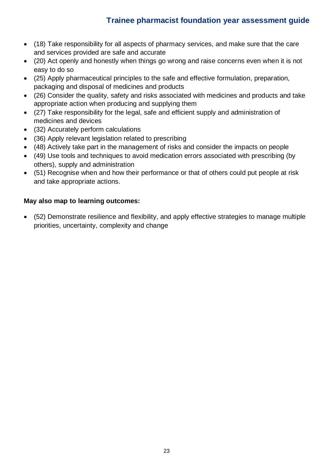- (18) Take responsibility for all aspects of pharmacy services, and make sure that the care and services provided are safe and accurate
- (20) Act openly and honestly when things go wrong and raise concerns even when it is not easy to do so
- (25) Apply pharmaceutical principles to the safe and effective formulation, preparation, packaging and disposal of medicines and products
- (26) Consider the quality, safety and risks associated with medicines and products and take appropriate action when producing and supplying them
- (27) Take responsibility for the legal, safe and efficient supply and administration of medicines and devices
- (32) Accurately perform calculations
- (36) Apply relevant legislation related to prescribing
- (48) Actively take part in the management of risks and consider the impacts on people
- (49) Use tools and techniques to avoid medication errors associated with prescribing (by others), supply and administration
- (51) Recognise when and how their performance or that of others could put people at risk and take appropriate actions.

### **May also map to learning outcomes:**

• (52) Demonstrate resilience and flexibility, and apply effective strategies to manage multiple priorities, uncertainty, complexity and change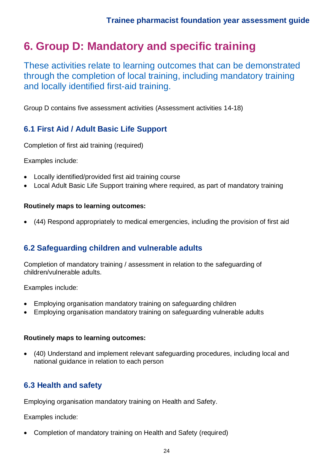## **6. Group D: Mandatory and specific training**

These activities relate to learning outcomes that can be demonstrated through the completion of local training, including mandatory training and locally identified first-aid training.

Group D contains five assessment activities (Assessment activities 14-18)

## **6.1 First Aid / Adult Basic Life Support**

Completion of first aid training (required)

Examples include:

- Locally identified/provided first aid training course
- Local Adult Basic Life Support training where required, as part of mandatory training

### **Routinely maps to learning outcomes:**

• (44) Respond appropriately to medical emergencies, including the provision of first aid

## **6.2 Safeguarding children and vulnerable adults**

Completion of mandatory training / assessment in relation to the safeguarding of children/vulnerable adults.

Examples include:

- Employing organisation mandatory training on safeguarding children
- Employing organisation mandatory training on safeguarding vulnerable adults

### **Routinely maps to learning outcomes:**

• (40) Understand and implement relevant safeguarding procedures, including local and national guidance in relation to each person

## **6.3 Health and safety**

Employing organisation mandatory training on Health and Safety.

Examples include:

• Completion of mandatory training on Health and Safety (required)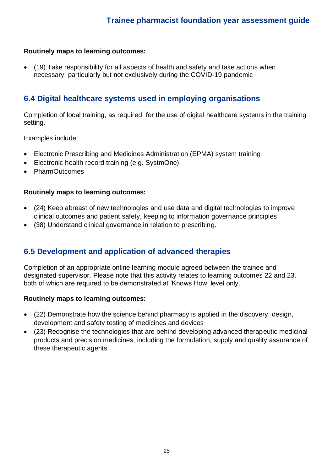### **Routinely maps to learning outcomes:**

• (19) Take responsibility for all aspects of health and safety and take actions when necessary, particularly but not exclusively during the COVID-19 pandemic

## **6.4 Digital healthcare systems used in employing organisations**

Completion of local training, as required, for the use of digital healthcare systems in the training setting.

Examples include:

- Electronic Prescribing and Medicines Administration (EPMA) system training
- Electronic health record training (e.g. SystmOne)
- PharmOutcomes

#### **Routinely maps to learning outcomes:**

- (24) Keep abreast of new technologies and use data and digital technologies to improve clinical outcomes and patient safety, keeping to information governance principles
- (38) Understand clinical governance in relation to prescribing.

### **6.5 Development and application of advanced therapies**

Completion of an appropriate online learning module agreed between the trainee and designated supervisor. Please note that this activity relates to learning outcomes 22 and 23, both of which are required to be demonstrated at 'Knows How' level only.

- (22) Demonstrate how the science behind pharmacy is applied in the discovery, design, development and safety testing of medicines and devices
- (23) Recognise the technologies that are behind developing advanced therapeutic medicinal products and precision medicines, including the formulation, supply and quality assurance of these therapeutic agents.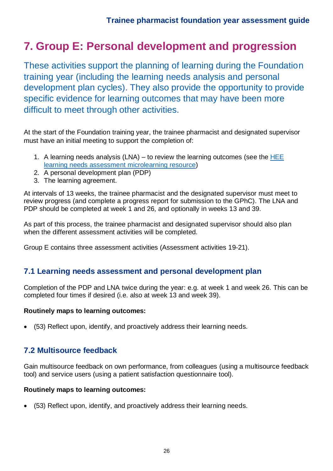## **7. Group E: Personal development and progression**

These activities support the planning of learning during the Foundation training year (including the learning needs analysis and personal development plan cycles). They also provide the opportunity to provide specific evidence for learning outcomes that may have been more difficult to meet through other activities.

At the start of the Foundation training year, the trainee pharmacist and designated supervisor must have an initial meeting to support the completion of:

- 1. A learning needs analysis (LNA) to review the learning outcomes (see the [HEE](https://sway.office.com/9IjykRqsbaN0Bh8B)  [learning needs assessment microlearning resource\)](https://sway.office.com/9IjykRqsbaN0Bh8B)
- 2. A personal development plan (PDP)
- 3. The learning agreement.

At intervals of 13 weeks, the trainee pharmacist and the designated supervisor must meet to review progress (and complete a progress report for submission to the GPhC). The LNA and PDP should be completed at week 1 and 26, and optionally in weeks 13 and 39.

As part of this process, the trainee pharmacist and designated supervisor should also plan when the different assessment activities will be completed.

Group E contains three assessment activities (Assessment activities 19-21).

### **7.1 Learning needs assessment and personal development plan**

Completion of the PDP and LNA twice during the year: e.g. at week 1 and week 26. This can be completed four times if desired (i.e. also at week 13 and week 39).

#### **Routinely maps to learning outcomes:**

• (53) Reflect upon, identify, and proactively address their learning needs.

### **7.2 Multisource feedback**

Gain multisource feedback on own performance, from colleagues (using a multisource feedback tool) and service users (using a patient satisfaction questionnaire tool).

#### **Routinely maps to learning outcomes:**

• (53) Reflect upon, identify, and proactively address their learning needs.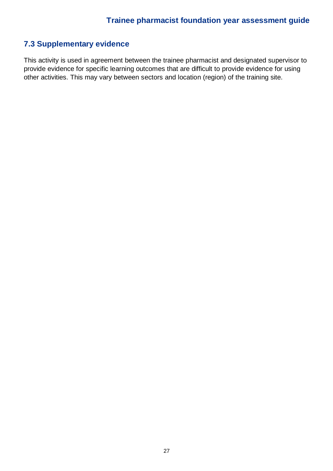## **7.3 Supplementary evidence**

This activity is used in agreement between the trainee pharmacist and designated supervisor to provide evidence for specific learning outcomes that are difficult to provide evidence for using other activities. This may vary between sectors and location (region) of the training site.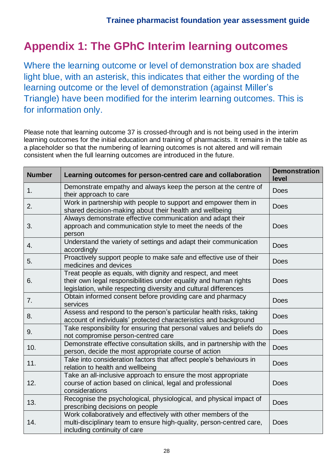## **Appendix 1: The GPhC Interim learning outcomes**

Where the learning outcome or level of demonstration box are shaded light blue, with an asterisk, this indicates that either the wording of the learning outcome or the level of demonstration (against Miller's Triangle) have been modified for the interim learning outcomes. This is for information only.

Please note that learning outcome 37 is crossed-through and is not being used in the interim learning outcomes for the initial education and training of pharmacists. It remains in the table as a placeholder so that the numbering of learning outcomes is not altered and will remain consistent when the full learning outcomes are introduced in the future.

| <b>Number</b> | Learning outcomes for person-centred care and collaboration                                                                                                                                        |             |  |
|---------------|----------------------------------------------------------------------------------------------------------------------------------------------------------------------------------------------------|-------------|--|
| 1.            | Demonstrate empathy and always keep the person at the centre of<br>their approach to care                                                                                                          | <b>Does</b> |  |
| 2.            | Work in partnership with people to support and empower them in<br>shared decision-making about their health and wellbeing                                                                          | <b>Does</b> |  |
| 3.            | Always demonstrate effective communication and adapt their<br>approach and communication style to meet the needs of the<br>person                                                                  | <b>Does</b> |  |
| 4.            | Understand the variety of settings and adapt their communication<br>accordingly                                                                                                                    | <b>Does</b> |  |
| 5.            | Proactively support people to make safe and effective use of their<br>medicines and devices                                                                                                        | <b>Does</b> |  |
| 6.            | Treat people as equals, with dignity and respect, and meet<br>their own legal responsibilities under equality and human rights<br>legislation, while respecting diversity and cultural differences | <b>Does</b> |  |
| 7.            | Obtain informed consent before providing care and pharmacy<br>services                                                                                                                             | <b>Does</b> |  |
| 8.            | Assess and respond to the person's particular health risks, taking<br>account of individuals' protected characteristics and background                                                             | <b>Does</b> |  |
| 9.            | Take responsibility for ensuring that personal values and beliefs do<br>not compromise person-centred care                                                                                         | <b>Does</b> |  |
| 10.           | Demonstrate effective consultation skills, and in partnership with the<br>person, decide the most appropriate course of action                                                                     | <b>Does</b> |  |
| 11.           | Take into consideration factors that affect people's behaviours in<br>relation to health and wellbeing                                                                                             | <b>Does</b> |  |
| 12.           | Take an all-inclusive approach to ensure the most appropriate<br>course of action based on clinical, legal and professional<br>considerations                                                      | <b>Does</b> |  |
| 13.           | Recognise the psychological, physiological, and physical impact of<br>prescribing decisions on people                                                                                              | <b>Does</b> |  |
| 14.           | Work collaboratively and effectively with other members of the<br>multi-disciplinary team to ensure high-quality, person-centred care,<br>including continuity of care                             | <b>Does</b> |  |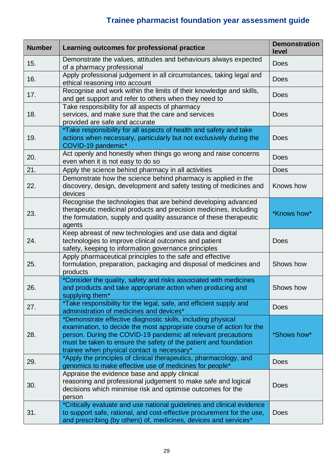| <b>Number</b> | Learning outcomes for professional practice                                                                                                                                                                                                                                                                              | <b>Demonstration</b><br>level |  |
|---------------|--------------------------------------------------------------------------------------------------------------------------------------------------------------------------------------------------------------------------------------------------------------------------------------------------------------------------|-------------------------------|--|
| 15.           | Demonstrate the values, attitudes and behaviours always expected<br>of a pharmacy professional                                                                                                                                                                                                                           | <b>Does</b>                   |  |
| 16.           | Apply professional judgement in all circumstances, taking legal and<br>ethical reasoning into account                                                                                                                                                                                                                    | <b>Does</b>                   |  |
| 17.           | Recognise and work within the limits of their knowledge and skills,<br>and get support and refer to others when they need to                                                                                                                                                                                             | <b>Does</b>                   |  |
| 18.           | Take responsibility for all aspects of pharmacy<br>services, and make sure that the care and services<br><b>Does</b><br>provided are safe and accurate                                                                                                                                                                   |                               |  |
| 19.           | *Take responsibility for all aspects of health and safety and take<br>actions when necessary, particularly but not exclusively during the<br><b>Does</b><br>COVID-19 pandemic*                                                                                                                                           |                               |  |
| 20.           | Act openly and honestly when things go wrong and raise concerns<br>even when it is not easy to do so                                                                                                                                                                                                                     | <b>Does</b>                   |  |
| 21.           | Apply the science behind pharmacy in all activities                                                                                                                                                                                                                                                                      | <b>Does</b>                   |  |
| 22.           | Demonstrate how the science behind pharmacy is applied in the<br>discovery, design, development and safety testing of medicines and<br>devices                                                                                                                                                                           | Knows how                     |  |
| 23.           | Recognise the technologies that are behind developing advanced<br>therapeutic medicinal products and precision medicines, including<br>the formulation, supply and quality assurance of these therapeutic<br>agents                                                                                                      | *Knows how*                   |  |
| 24.           | Keep abreast of new technologies and use data and digital<br>technologies to improve clinical outcomes and patient<br>safety, keeping to information governance principles                                                                                                                                               | <b>Does</b>                   |  |
| 25.           | Apply pharmaceutical principles to the safe and effective<br>formulation, preparation, packaging and disposal of medicines and<br>products                                                                                                                                                                               | Shows how                     |  |
| 26.           | *Consider the quality, safety and risks associated with medicines<br>and products and take appropriate action when producing and<br>supplying them*                                                                                                                                                                      | Shows how                     |  |
| 27.           | *Take responsibility for the legal, safe, and efficient supply and<br>administration of medicines and devices*                                                                                                                                                                                                           | <b>Does</b>                   |  |
| 28.           | *Demonstrate effective diagnostic skills, including physical<br>examination, to decide the most appropriate course of action for the<br>person. During the COVID-19 pandemic all relevant precautions<br>must be taken to ensure the safety of the patient and foundation<br>trainee when physical contact is necessary* | *Shows how*                   |  |
| 29.           | *Apply the principles of clinical therapeutics, pharmacology, and<br>genomics to make effective use of medicines for people*                                                                                                                                                                                             | <b>Does</b>                   |  |
| 30.           | Appraise the evidence base and apply clinical<br>reasoning and professional judgement to make safe and logical<br>decisions which minimise risk and optimise outcomes for the<br>person                                                                                                                                  | <b>Does</b>                   |  |
| 31.           | *Critically evaluate and use national guidelines and clinical evidence<br>to support safe, rational, and cost-effective procurement for the use,<br>and prescribing (by others) of, medicines, devices and services*                                                                                                     | <b>Does</b>                   |  |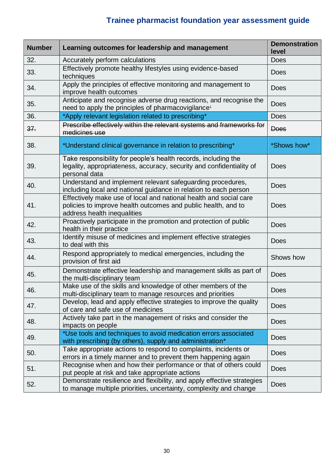| <b>Number</b> | Learning outcomes for leadership and management                                                                                                                   | <b>Demonstration</b><br>level |  |
|---------------|-------------------------------------------------------------------------------------------------------------------------------------------------------------------|-------------------------------|--|
| 32.           | Accurately perform calculations                                                                                                                                   | <b>Does</b>                   |  |
| 33.           | Effectively promote healthy lifestyles using evidence-based<br><b>Does</b><br>techniques                                                                          |                               |  |
| 34.           | Apply the principles of effective monitoring and management to<br>improve health outcomes                                                                         | <b>Does</b>                   |  |
| 35.           | Anticipate and recognise adverse drug reactions, and recognise the<br>need to apply the principles of pharmacovigilance <sup>1</sup>                              | <b>Does</b>                   |  |
| 36.           | *Apply relevant legislation related to prescribing*                                                                                                               | <b>Does</b>                   |  |
| 37.           | Prescribe effectively within the relevant systems and frameworks for<br>medicines use                                                                             | <b>Does</b>                   |  |
| 38.           | *Understand clinical governance in relation to prescribing*                                                                                                       | *Shows how*                   |  |
| 39.           | Take responsibility for people's health records, including the<br>legality, appropriateness, accuracy, security and confidentiality of<br>personal data           | <b>Does</b>                   |  |
| 40.           | Understand and implement relevant safeguarding procedures,<br>including local and national guidance in relation to each person                                    | <b>Does</b>                   |  |
| 41.           | Effectively make use of local and national health and social care<br>policies to improve health outcomes and public health, and to<br>address health inequalities | <b>Does</b>                   |  |
| 42.           | Proactively participate in the promotion and protection of public<br>health in their practice                                                                     | <b>Does</b>                   |  |
| 43.           | Identify misuse of medicines and implement effective strategies<br>to deal with this                                                                              | <b>Does</b>                   |  |
| 44.           | Respond appropriately to medical emergencies, including the<br>provision of first aid                                                                             | Shows how                     |  |
| 45.           | Demonstrate effective leadership and management skills as part of<br>the multi-disciplinary team                                                                  | <b>Does</b>                   |  |
| 46.           | Make use of the skills and knowledge of other members of the<br>multi-disciplinary team to manage resources and priorities                                        | Does                          |  |
| 47.           | Develop, lead and apply effective strategies to improve the quality<br>of care and safe use of medicines                                                          | <b>Does</b>                   |  |
| 48.           | Actively take part in the management of risks and consider the<br>impacts on people                                                                               | <b>Does</b>                   |  |
| 49.           | *Use tools and techniques to avoid medication errors associated<br>with prescribing (by others), supply and administration*                                       | <b>Does</b>                   |  |
| 50.           | Take appropriate actions to respond to complaints, incidents or<br>errors in a timely manner and to prevent them happening again                                  | <b>Does</b>                   |  |
| 51.           | Recognise when and how their performance or that of others could<br>put people at risk and take appropriate actions                                               | <b>Does</b>                   |  |
| 52.           | Demonstrate resilience and flexibility, and apply effective strategies<br>to manage multiple priorities, uncertainty, complexity and change                       | <b>Does</b>                   |  |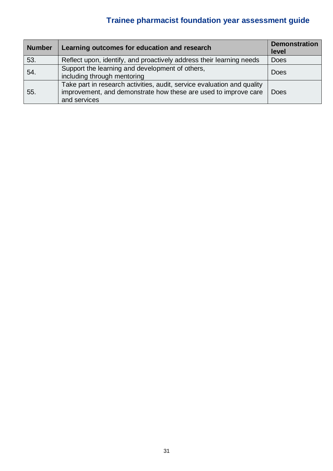| <b>Number</b> | Learning outcomes for education and research                                                                                                               | <b>Demonstration</b><br>level |
|---------------|------------------------------------------------------------------------------------------------------------------------------------------------------------|-------------------------------|
| 53.           | Reflect upon, identify, and proactively address their learning needs                                                                                       | <b>Does</b>                   |
| 54.           | Support the learning and development of others,<br>including through mentoring                                                                             | <b>Does</b>                   |
| 55.           | Take part in research activities, audit, service evaluation and quality<br>improvement, and demonstrate how these are used to improve care<br>and services | <b>Does</b>                   |